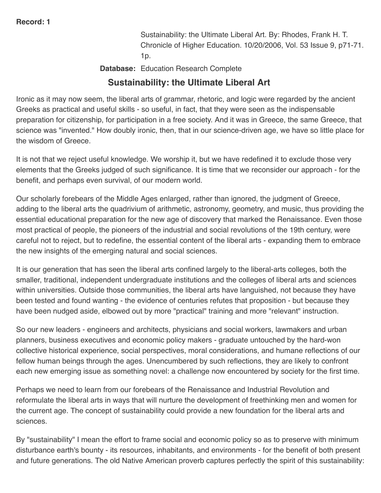Sustainability: the Ultimate Liberal Art. By: Rhodes, Frank H. T. Chronicle of Higher Education. 10/20/2006, Vol. 53 Issue 9, p71-71.  $1p.$ 

**Database:** Education Research Complete

## **Sustainability: the Ultimate Liberal Art**

Ironic as it may now seem, the liberal arts of grammar, rhetoric, and logic were regarded by the ancient Greeks as practical and useful skills - so useful, in fact, that they were seen as the indispensable preparation for citizenship, for participation in a free society. And it was in Greece, the same Greece, that science was "invented." How doubly ironic, then, that in our science-driven age, we have so little place for the wisdom of Greece.

It is not that we reject useful knowledge. We worship it, but we have redefined it to exclude those very elements that the Greeks judged of such significance. It is time that we reconsider our approach - for the benefit, and perhaps even survival, of our modern world.

Our scholarly forebears of the Middle Ages enlarged, rather than ignored, the judgment of Greece, adding to the liberal arts the quadrivium of arithmetic, astronomy, geometry, and music, thus providing the essential educational preparation for the new age of discovery that marked the Renaissance. Even those most practical of people, the pioneers of the industrial and social revolutions of the 19th century, were careful not to reject, but to redefine, the essential content of the liberal arts - expanding them to embrace the new insights of the emerging natural and social sciences.

It is our generation that has seen the liberal arts confined largely to the liberal-arts colleges, both the smaller, traditional, independent undergraduate institutions and the colleges of liberal arts and sciences within universities. Outside those communities, the liberal arts have languished, not because they have been tested and found wanting - the evidence of centuries refutes that proposition - but because they have been nudged aside, elbowed out by more "practical" training and more "relevant" instruction.

So our new leaders - engineers and architects, physicians and social workers, lawmakers and urban planners, business executives and economic policy makers - graduate untouched by the hard-won collective historical experience, social perspectives, moral considerations, and humane reflections of our fellow human beings through the ages. Unencumbered by such reflections, they are likely to confront each new emerging issue as something novel: a challenge now encountered by society for the first time.

Perhaps we need to learn from our forebears of the Renaissance and Industrial Revolution and reformulate the liberal arts in ways that will nurture the development of freethinking men and women for the current age. The concept of sustainability could provide a new foundation for the liberal arts and sciences.

By "sustainability" I mean the effort to frame social and economic policy so as to preserve with minimum disturbance earth's bounty - its resources, inhabitants, and environments - for the benefit of both present and future generations. The old Native American proverb captures perfectly the spirit of this sustainability: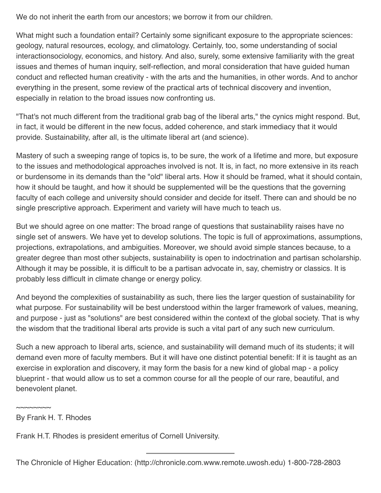We do not inherit the earth from our ancestors; we borrow it from our children.

What might such a foundation entail? Certainly some significant exposure to the appropriate sciences: geology, natural resources, ecology, and climatology. Certainly, too, some understanding of social interactionsociology, economics, and history. And also, surely, some extensive familiarity with the great issues and themes of human inquiry, self-reflection, and moral consideration that have guided human conduct and reflected human creativity - with the arts and the humanities, in other words. And to anchor everything in the present, some review of the practical arts of technical discovery and invention, especially in relation to the broad issues now confronting us.

"That's not much different from the traditional grab bag of the liberal arts," the cynics might respond. But, in fact, it would be different in the new focus, added coherence, and stark immediacy that it would provide. Sustainability, after all, is the ultimate liberal art (and science).

Mastery of such a sweeping range of topics is, to be sure, the work of a lifetime and more, but exposure to the issues and methodological approaches involved is not. It is, in fact, no more extensive in its reach or burdensome in its demands than the "old" liberal arts. How it should be framed, what it should contain, how it should be taught, and how it should be supplemented will be the questions that the governing faculty of each college and university should consider and decide for itself. There can and should be no single prescriptive approach. Experiment and variety will have much to teach us.

But we should agree on one matter: The broad range of questions that sustainability raises have no single set of answers. We have yet to develop solutions. The topic is full of approximations, assumptions, projections, extrapolations, and ambiguities. Moreover, we should avoid simple stances because, to a greater degree than most other subjects, sustainability is open to indoctrination and partisan scholarship. Although it may be possible, it is difficult to be a partisan advocate in, say, chemistry or classics. It is probably less difficult in climate change or energy policy.

And beyond the complexities of sustainability as such, there lies the larger question of sustainability for what purpose. For sustainability will be best understood within the larger framework of values, meaning, and purpose - just as "solutions" are best considered within the context of the global society. That is why the wisdom that the traditional liberal arts provide is such a vital part of any such new curriculum.

Such a new approach to liberal arts, science, and sustainability will demand much of its students; it will demand even more of faculty members. But it will have one distinct potential benefit: If it is taught as an exercise in exploration and discovery, it may form the basis for a new kind of global map - a policy blueprint - that would allow us to set a common course for all the people of our rare, beautiful, and benevolent planet.

By Frank H. T. Rhodes

 $\sim$  $\sim$  $\sim$  $\sim$  $\sim$  $\sim$ 

Frank H.T. Rhodes is president emeritus of Cornell University.

The Chronicle of Higher Education: (http://chronicle.com.www.remote.uwosh.edu) 1-800-728-2803